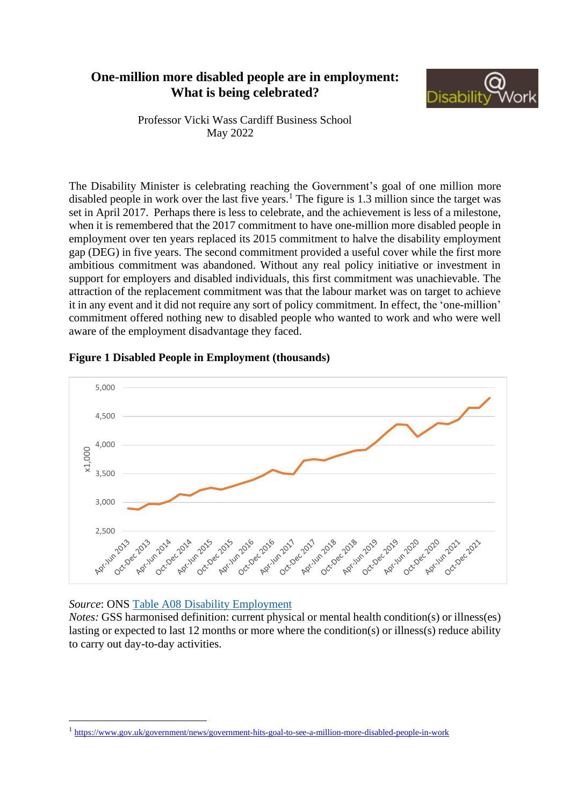## **One-million more disabled people are in employment: What is being celebrated?**



Professor Vicki Wass Cardiff Business School May 2022

The Disability Minister is celebrating reaching the Government's goal of one million more disabled people in work over the last five years.<sup>1</sup> The figure is 1.3 million since the target was set in April 2017. Perhaps there is less to celebrate, and the achievement is less of a milestone, when it is remembered that the 2017 commitment to have one-million more disabled people in employment over ten years replaced its 2015 commitment to halve the disability employment gap (DEG) in five years. The second commitment provided a useful cover while the first more ambitious commitment was abandoned. Without any real policy initiative or investment in support for employers and disabled individuals, this first commitment was unachievable. The attraction of the replacement commitment was that the labour market was on target to achieve it in any event and it did not require any sort of policy commitment. In effect, the 'one-million' commitment offered nothing new to disabled people who wanted to work and who were well aware of the employment disadvantage they faced.



## **Figure 1 Disabled People in Employment (thousands)**

## *Source*: ONS [Table A08 Disability Employment](https://www.ons.gov.uk/employmentandlabourmarket/peopleinwork/employmentandemployeetypes/datasets/labourmarketstatusofdisabledpeoplea08)

*Notes:* GSS harmonised definition: current physical or mental health condition(s) or illness(es) lasting or expected to last 12 months or more where the condition(s) or illness(s) reduce ability to carry out day-to-day activities.

<sup>1</sup> [https://www.gov.uk/government/news/government-hits-goal-to-see-a-million-more-disabled-people-in-work](https://eur03.safelinks.protection.outlook.com/?url=https%3A%2F%2Fwww.gov.uk%2Fgovernment%2Fnews%2Fgovernment-hits-goal-to-see-a-million-more-disabled-people-in-work&data=05%7C01%7Cwass%40cardiff.ac.uk%7C19112f2645c148ac6e9408da3824801d%7Cbdb74b3095684856bdbf06759778fcbc%7C1%7C0%7C637884026655358704%7CUnknown%7CTWFpbGZsb3d8eyJWIjoiMC4wLjAwMDAiLCJQIjoiV2luMzIiLCJBTiI6Ik1haWwiLCJXVCI6Mn0%3D%7C3000%7C%7C%7C&sdata=dqi3r5i9MtEtUHTkDGobc4MR6PNmugnxzsbR9YqyC9k%3D&reserved=0)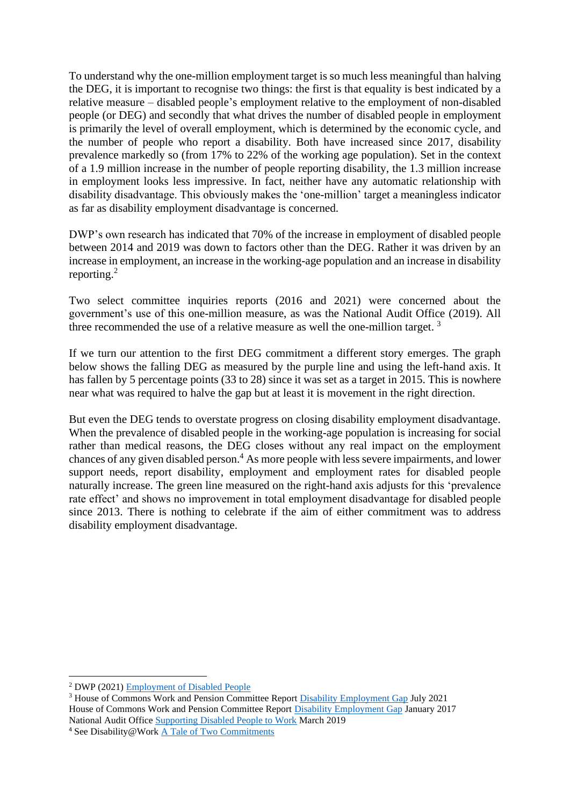To understand why the one-million employment target is so much less meaningful than halving the DEG, it is important to recognise two things: the first is that equality is best indicated by a relative measure – disabled people's employment relative to the employment of non-disabled people (or DEG) and secondly that what drives the number of disabled people in employment is primarily the level of overall employment, which is determined by the economic cycle, and the number of people who report a disability. Both have increased since 2017, disability prevalence markedly so (from 17% to 22% of the working age population). Set in the context of a 1.9 million increase in the number of people reporting disability, the 1.3 million increase in employment looks less impressive. In fact, neither have any automatic relationship with disability disadvantage. This obviously makes the 'one-million' target a meaningless indicator as far as disability employment disadvantage is concerned.

DWP's own research has indicated that 70% of the increase in employment of disabled people between 2014 and 2019 was down to factors other than the DEG. Rather it was driven by an increase in employment, an increase in the working-age population and an increase in disability reporting.<sup>2</sup>

Two select committee inquiries reports (2016 and 2021) were concerned about the government's use of this one-million measure, as was the National Audit Office (2019). All three recommended the use of a relative measure as well the one-million target.<sup>3</sup>

If we turn our attention to the first DEG commitment a different story emerges. The graph below shows the falling DEG as measured by the purple line and using the left-hand axis. It has fallen by 5 percentage points (33 to 28) since it was set as a target in 2015. This is nowhere near what was required to halve the gap but at least it is movement in the right direction.

But even the DEG tends to overstate progress on closing disability employment disadvantage. When the prevalence of disabled people in the working-age population is increasing for social rather than medical reasons, the DEG closes without any real impact on the employment chances of any given disabled person. <sup>4</sup> As more people with less severe impairments, and lower support needs, report disability, employment and employment rates for disabled people naturally increase. The green line measured on the right-hand axis adjusts for this 'prevalence rate effect' and shows no improvement in total employment disadvantage for disabled people since 2013. There is nothing to celebrate if the aim of either commitment was to address disability employment disadvantage.

<sup>2</sup> DWP (2021[\) Employment of Disabled People](https://www.gov.uk/government/statistics/the-employment-of-disabled-people-2021/the-employment-of-disabled-people-2021)

<sup>3</sup> House of Commons Work and Pension Committee Report [Disability Employment Gap](https://www.base-uk.org/sites/default/files/news/default.pdf) July 2021 House of Commons Work and Pension Committee Report [Disability Employment Gap](https://publications.parliament.uk/pa/cm201617/cmselect/cmworpen/56/56.pdf) January 2017 National Audit Office [Supporting Disabled People to Work](https://www.nao.org.uk/wp-content/uploads/2019/03/Supporting-disabled-people-to-work.pdf) March 2019

<sup>4</sup> See Disability@Work [A Tale of Two](https://www.disabilityatwork.co.uk/research-areas/disability-measurement-and-target/a-tale-of-two-commitments/) Commitments